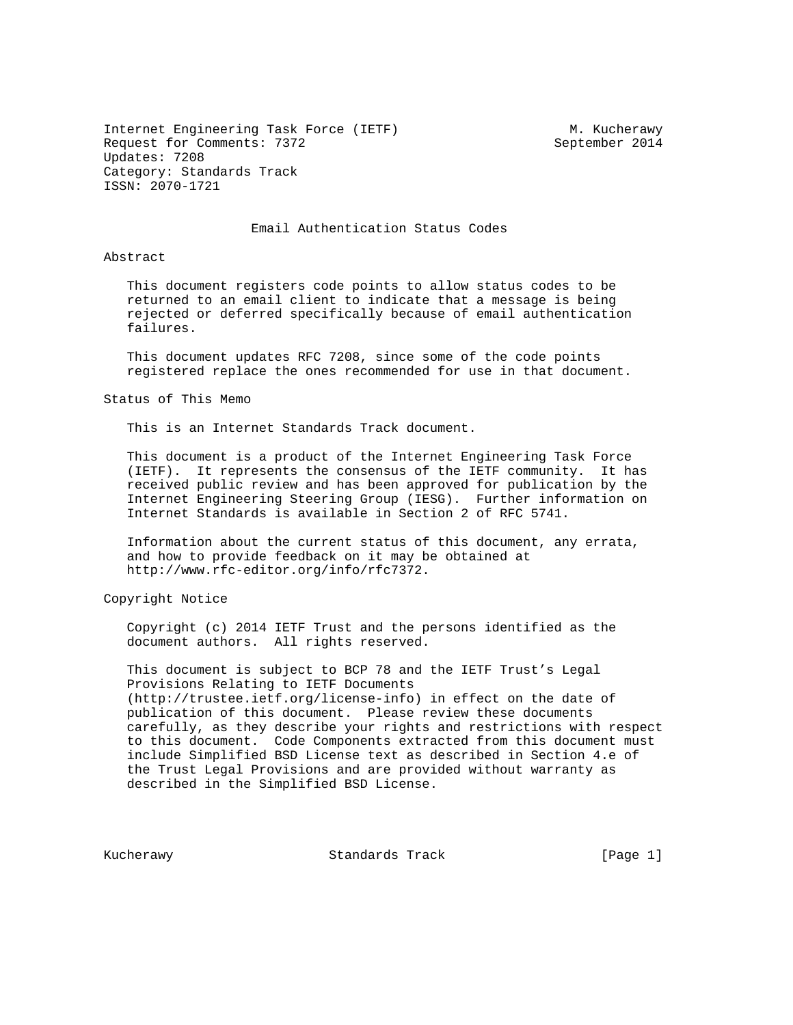Internet Engineering Task Force (IETF) M. Kucherawy Request for Comments: 7372 September 2014 Updates: 7208 Category: Standards Track ISSN: 2070-1721

#### Email Authentication Status Codes

Abstract

 This document registers code points to allow status codes to be returned to an email client to indicate that a message is being rejected or deferred specifically because of email authentication failures.

 This document updates RFC 7208, since some of the code points registered replace the ones recommended for use in that document.

Status of This Memo

This is an Internet Standards Track document.

 This document is a product of the Internet Engineering Task Force (IETF). It represents the consensus of the IETF community. It has received public review and has been approved for publication by the Internet Engineering Steering Group (IESG). Further information on Internet Standards is available in Section 2 of RFC 5741.

 Information about the current status of this document, any errata, and how to provide feedback on it may be obtained at http://www.rfc-editor.org/info/rfc7372.

Copyright Notice

 Copyright (c) 2014 IETF Trust and the persons identified as the document authors. All rights reserved.

 This document is subject to BCP 78 and the IETF Trust's Legal Provisions Relating to IETF Documents (http://trustee.ietf.org/license-info) in effect on the date of publication of this document. Please review these documents carefully, as they describe your rights and restrictions with respect to this document. Code Components extracted from this document must include Simplified BSD License text as described in Section 4.e of the Trust Legal Provisions and are provided without warranty as described in the Simplified BSD License.

Kucherawy Standards Track [Page 1]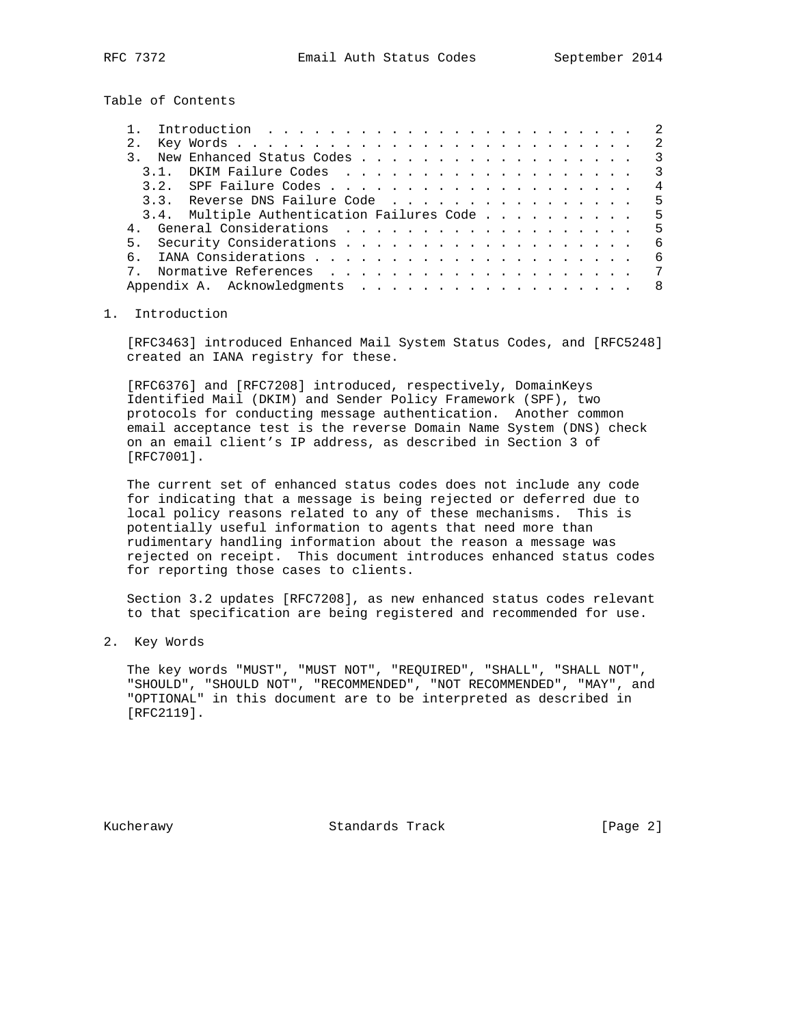Table of Contents

|  |     |                                               |  |  |  |  |  |  |  |  |  |  |  | $\overline{\mathbf{3}}$ |
|--|-----|-----------------------------------------------|--|--|--|--|--|--|--|--|--|--|--|-------------------------|
|  | 3 1 |                                               |  |  |  |  |  |  |  |  |  |  |  | $\overline{\mathbf{3}}$ |
|  |     |                                               |  |  |  |  |  |  |  |  |  |  |  | $\overline{4}$          |
|  |     | 3.3. Reverse DNS Failure Code 5               |  |  |  |  |  |  |  |  |  |  |  |                         |
|  |     | 3.4. Multiple Authentication Failures Code  5 |  |  |  |  |  |  |  |  |  |  |  |                         |
|  |     | General Considerations 5                      |  |  |  |  |  |  |  |  |  |  |  |                         |
|  |     |                                               |  |  |  |  |  |  |  |  |  |  |  | - 6                     |
|  |     |                                               |  |  |  |  |  |  |  |  |  |  |  | - 6                     |
|  |     |                                               |  |  |  |  |  |  |  |  |  |  |  |                         |
|  |     |                                               |  |  |  |  |  |  |  |  |  |  |  | 8                       |
|  |     |                                               |  |  |  |  |  |  |  |  |  |  |  |                         |

## 1. Introduction

 [RFC3463] introduced Enhanced Mail System Status Codes, and [RFC5248] created an IANA registry for these.

 [RFC6376] and [RFC7208] introduced, respectively, DomainKeys Identified Mail (DKIM) and Sender Policy Framework (SPF), two protocols for conducting message authentication. Another common email acceptance test is the reverse Domain Name System (DNS) check on an email client's IP address, as described in Section 3 of [RFC7001].

 The current set of enhanced status codes does not include any code for indicating that a message is being rejected or deferred due to local policy reasons related to any of these mechanisms. This is potentially useful information to agents that need more than rudimentary handling information about the reason a message was rejected on receipt. This document introduces enhanced status codes for reporting those cases to clients.

 Section 3.2 updates [RFC7208], as new enhanced status codes relevant to that specification are being registered and recommended for use.

2. Key Words

 The key words "MUST", "MUST NOT", "REQUIRED", "SHALL", "SHALL NOT", "SHOULD", "SHOULD NOT", "RECOMMENDED", "NOT RECOMMENDED", "MAY", and "OPTIONAL" in this document are to be interpreted as described in [RFC2119].

Kucherawy Standards Track [Page 2]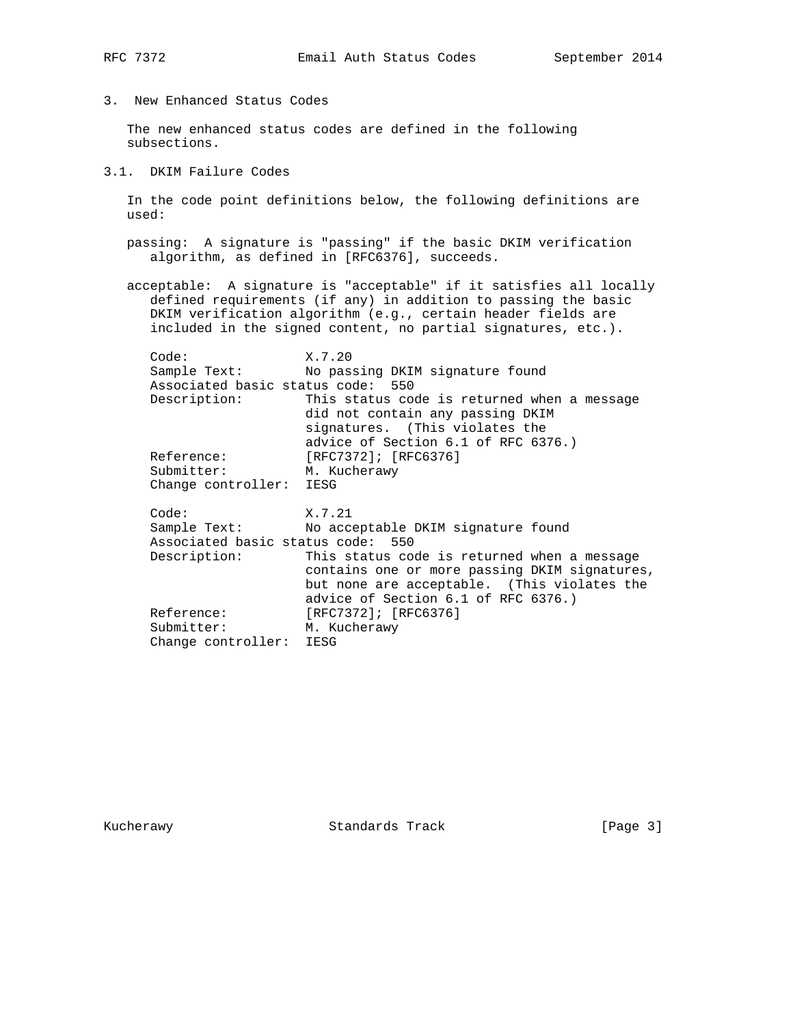3. New Enhanced Status Codes

 The new enhanced status codes are defined in the following subsections.

3.1. DKIM Failure Codes

 In the code point definitions below, the following definitions are used:

- passing: A signature is "passing" if the basic DKIM verification algorithm, as defined in [RFC6376], succeeds.
- acceptable: A signature is "acceptable" if it satisfies all locally defined requirements (if any) in addition to passing the basic DKIM verification algorithm (e.g., certain header fields are included in the signed content, no partial signatures, etc.).

| Code:                             | X.7.20                                                                                                                                                                             |  |  |  |  |  |  |  |
|-----------------------------------|------------------------------------------------------------------------------------------------------------------------------------------------------------------------------------|--|--|--|--|--|--|--|
|                                   | Sample Text: No passing DKIM signature found                                                                                                                                       |  |  |  |  |  |  |  |
| Associated basic status code: 550 |                                                                                                                                                                                    |  |  |  |  |  |  |  |
| Description:                      | This status code is returned when a message<br>did not contain any passing DKIM<br>signatures. (This violates the<br>advice of Section 6.1 of RFC 6376.)                           |  |  |  |  |  |  |  |
| Reference:                        | [RFC7372]; [RFC6376]                                                                                                                                                               |  |  |  |  |  |  |  |
| Submitter:                        | M. Kucherawy                                                                                                                                                                       |  |  |  |  |  |  |  |
| Change controller: IESG           |                                                                                                                                                                                    |  |  |  |  |  |  |  |
| Code:                             | X.7.21                                                                                                                                                                             |  |  |  |  |  |  |  |
|                                   | Sample Text: No acceptable DKIM signature found                                                                                                                                    |  |  |  |  |  |  |  |
| Associated basic status code: 550 |                                                                                                                                                                                    |  |  |  |  |  |  |  |
| Description:                      | This status code is returned when a message<br>contains one or more passing DKIM signatures,<br>but none are acceptable. (This violates the<br>advice of Section 6.1 of RFC 6376.) |  |  |  |  |  |  |  |
| Reference:                        | [RFC7372]; [RFC6376]                                                                                                                                                               |  |  |  |  |  |  |  |
| Submitter:                        | M. Kucherawy                                                                                                                                                                       |  |  |  |  |  |  |  |
| Change controller: IESG           |                                                                                                                                                                                    |  |  |  |  |  |  |  |

Kucherawy Standards Track [Page 3]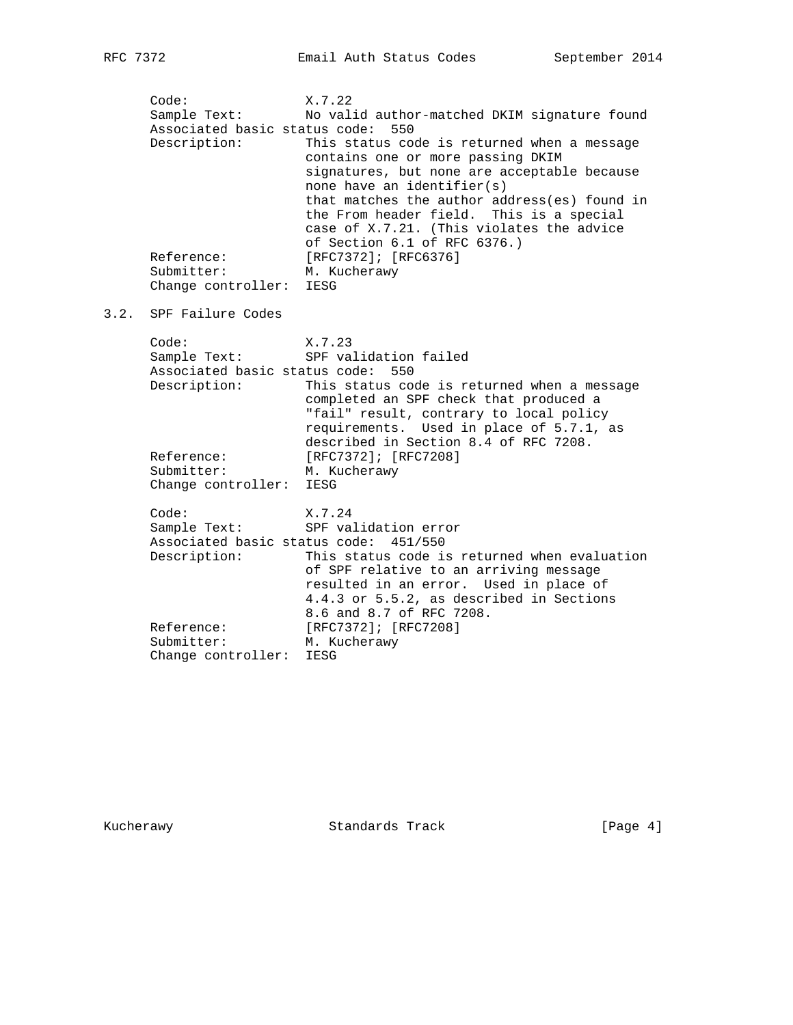Code: X.7.22 Sample Text: No valid author-matched DKIM signature found Associated basic status code: 550 Description: This status code is returned when a message contains one or more passing DKIM signatures, but none are acceptable because none have an identifier(s) that matches the author address(es) found in the From header field. This is a special case of X.7.21. (This violates the advice of Section 6.1 of RFC 6376.) Reference: [RFC7372]; [RFC6376] Submitter: M. Kucherawy Change controller: IESG 3.2. SPF Failure Codes Code: X.7.23<br>Sample Text: SPF val SPF validation failed Associated basic status code: 550 Description: This status code is returned when a message completed an SPF check that produced a "fail" result, contrary to local policy requirements. Used in place of 5.7.1, as described in Section 8.4 of RFC 7208. Reference: [RFC7372]; [RFC7208] Submitter: [REC/3/2]/ [REC/3/2] Change controller: IESG Code: X.7.24 Sample Text: SPF validation error Associated basic status code: 451/550 Description: This status code is returned when evaluation of SPF relative to an arriving message resulted in an error. Used in place of 4.4.3 or 5.5.2, as described in Sections 8.6 and 8.7 of RFC 7208. Reference: [RFC7372]; [RFC7208] Submitter: M. Kucherawy Change controller: IESG

Kucherawy Standards Track [Page 4]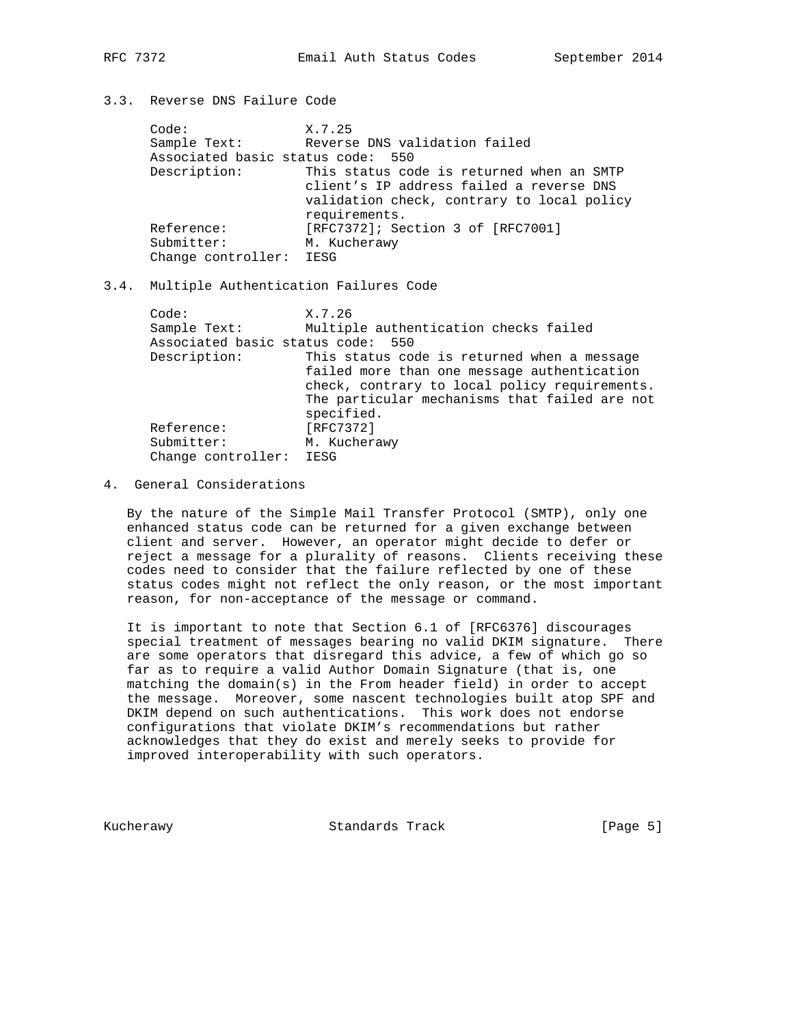# 3.3. Reverse DNS Failure Code

| Code:                             | X.7.25                                     |
|-----------------------------------|--------------------------------------------|
| Sample Text:                      | Reverse DNS validation failed              |
| Associated basic status code: 550 |                                            |
| Description:                      | This status code is returned when an SMTP  |
|                                   | client's IP address failed a reverse DNS   |
|                                   | validation check, contrary to local policy |
|                                   | requirements.                              |
| Reference:                        | [RFC7372]; Section 3 of [RFC7001]          |
| Submitter:                        | M. Kucherawy                               |
| Change controller: IESG           |                                            |

## 3.4. Multiple Authentication Failures Code

| Code:                             | X.7.26                                        |
|-----------------------------------|-----------------------------------------------|
| Sample Text:                      | Multiple authentication checks failed         |
| Associated basic status code: 550 |                                               |
| Description:                      | This status code is returned when a message   |
|                                   | failed more than one message authentication   |
|                                   | check, contrary to local policy requirements. |
|                                   | The particular mechanisms that failed are not |
|                                   | specified.                                    |
| Reference:                        | [RFC7372]                                     |
| Submitter:                        | M. Kucherawy                                  |
| Change controller:                | IESG                                          |

### 4. General Considerations

 By the nature of the Simple Mail Transfer Protocol (SMTP), only one enhanced status code can be returned for a given exchange between client and server. However, an operator might decide to defer or reject a message for a plurality of reasons. Clients receiving these codes need to consider that the failure reflected by one of these status codes might not reflect the only reason, or the most important reason, for non-acceptance of the message or command.

 It is important to note that Section 6.1 of [RFC6376] discourages special treatment of messages bearing no valid DKIM signature. There are some operators that disregard this advice, a few of which go so far as to require a valid Author Domain Signature (that is, one matching the domain(s) in the From header field) in order to accept the message. Moreover, some nascent technologies built atop SPF and DKIM depend on such authentications. This work does not endorse configurations that violate DKIM's recommendations but rather acknowledges that they do exist and merely seeks to provide for improved interoperability with such operators.

Kucherawy Standards Track [Page 5]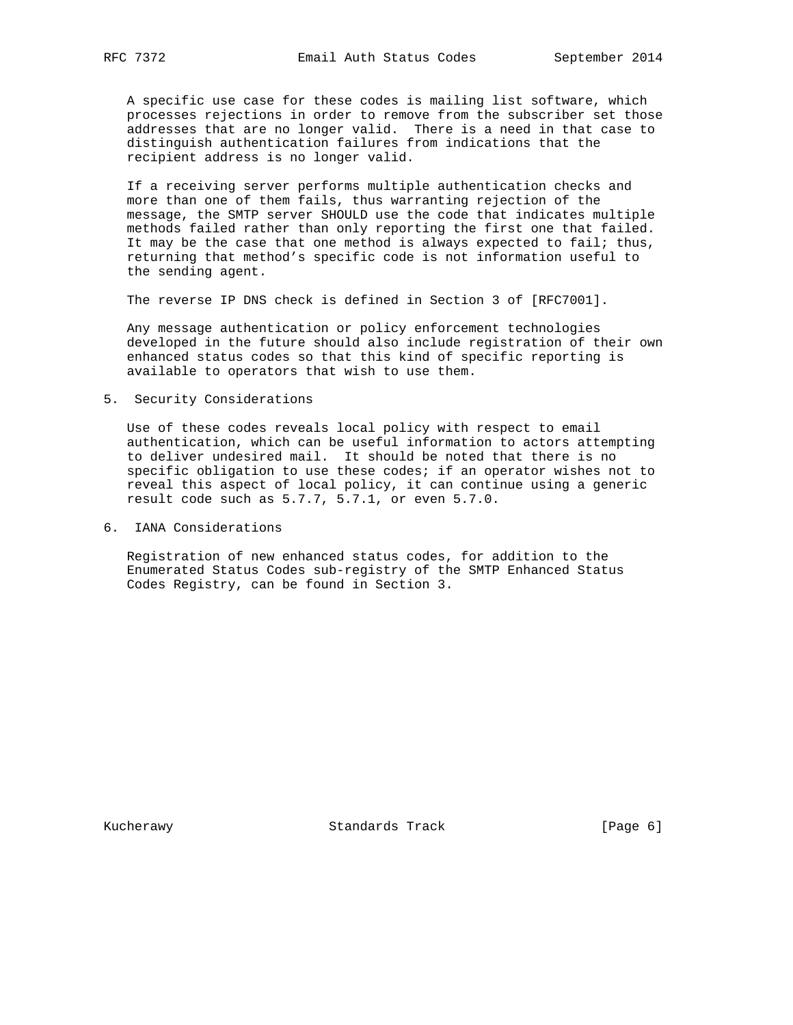A specific use case for these codes is mailing list software, which processes rejections in order to remove from the subscriber set those addresses that are no longer valid. There is a need in that case to distinguish authentication failures from indications that the recipient address is no longer valid.

 If a receiving server performs multiple authentication checks and more than one of them fails, thus warranting rejection of the message, the SMTP server SHOULD use the code that indicates multiple methods failed rather than only reporting the first one that failed. It may be the case that one method is always expected to fail; thus, returning that method's specific code is not information useful to the sending agent.

The reverse IP DNS check is defined in Section 3 of [RFC7001].

 Any message authentication or policy enforcement technologies developed in the future should also include registration of their own enhanced status codes so that this kind of specific reporting is available to operators that wish to use them.

5. Security Considerations

 Use of these codes reveals local policy with respect to email authentication, which can be useful information to actors attempting to deliver undesired mail. It should be noted that there is no specific obligation to use these codes; if an operator wishes not to reveal this aspect of local policy, it can continue using a generic result code such as 5.7.7, 5.7.1, or even 5.7.0.

6. IANA Considerations

 Registration of new enhanced status codes, for addition to the Enumerated Status Codes sub-registry of the SMTP Enhanced Status Codes Registry, can be found in Section 3.

Kucherawy Standards Track [Page 6]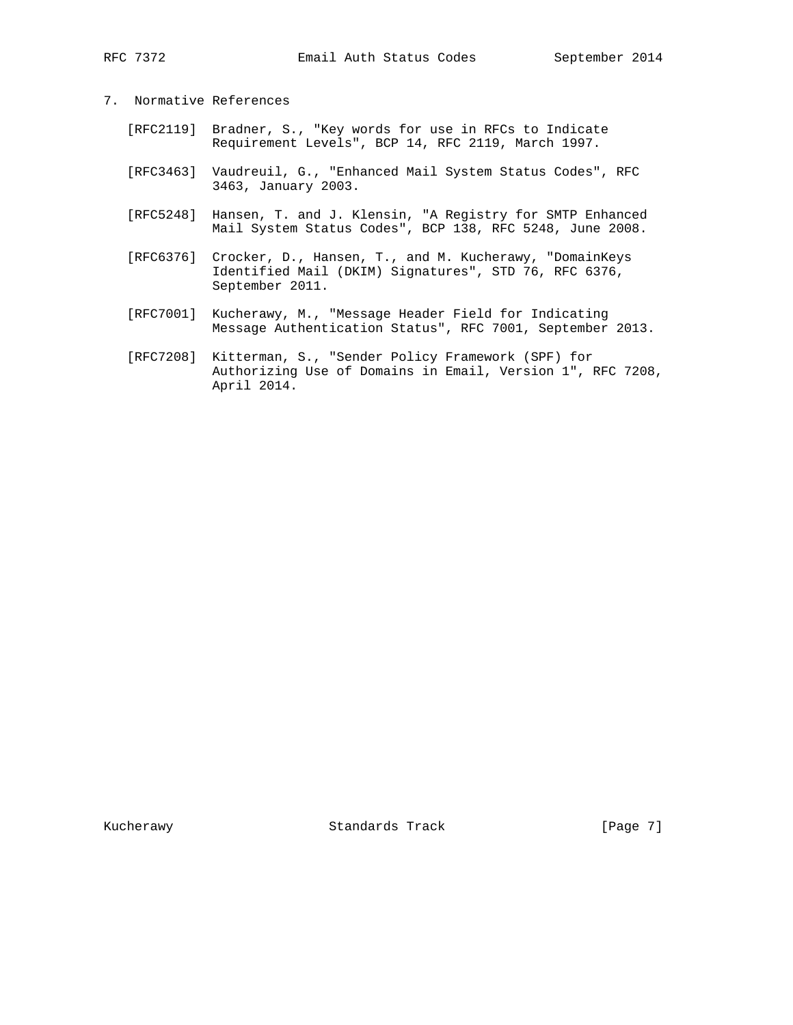# 7. Normative References

- [RFC2119] Bradner, S., "Key words for use in RFCs to Indicate Requirement Levels", BCP 14, RFC 2119, March 1997.
- [RFC3463] Vaudreuil, G., "Enhanced Mail System Status Codes", RFC 3463, January 2003.
- [RFC5248] Hansen, T. and J. Klensin, "A Registry for SMTP Enhanced Mail System Status Codes", BCP 138, RFC 5248, June 2008.
- [RFC6376] Crocker, D., Hansen, T., and M. Kucherawy, "DomainKeys Identified Mail (DKIM) Signatures", STD 76, RFC 6376, September 2011.
- [RFC7001] Kucherawy, M., "Message Header Field for Indicating Message Authentication Status", RFC 7001, September 2013.
- [RFC7208] Kitterman, S., "Sender Policy Framework (SPF) for Authorizing Use of Domains in Email, Version 1", RFC 7208, April 2014.

Kucherawy Standards Track [Page 7]